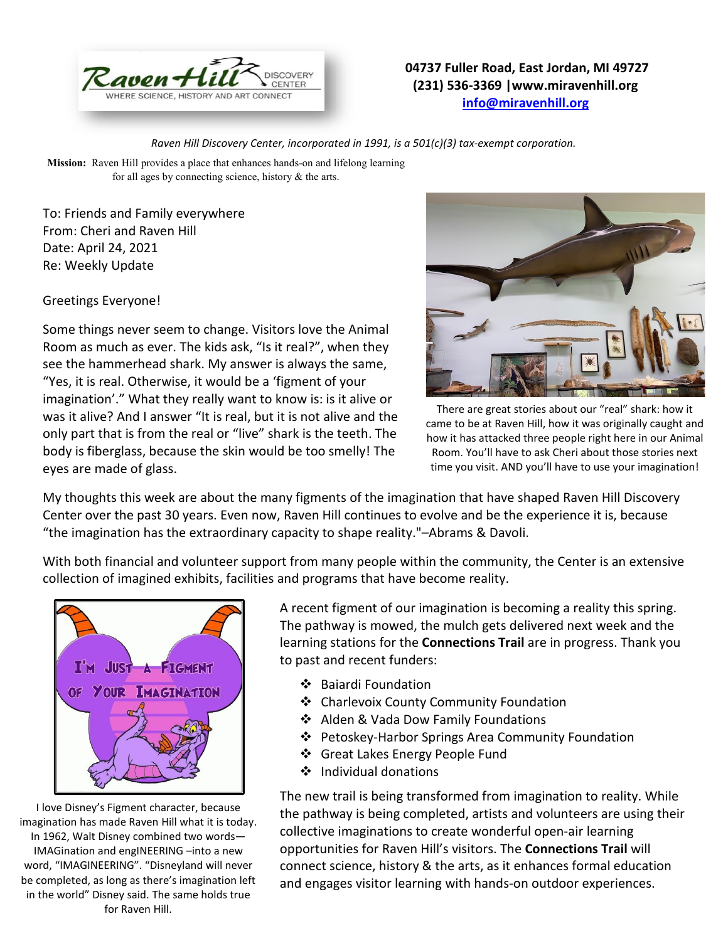

## **04737 Fuller Road, East Jordan, MI 49727 (231) 536-3369 |www.miravenhill.org [info@miravenhill.org](mailto:info@miravenhill.org)**

*Raven Hill Discovery Center, incorporated in 1991, is a 501(c)(3) tax-exempt corporation.*

**Mission:** Raven Hill provides a place that enhances hands-on and lifelong learning for all ages by connecting science, history & the arts.

To: Friends and Family everywhere From: Cheri and Raven Hill Date: April 24, 2021 Re: Weekly Update

Greetings Everyone!

Some things never seem to change. Visitors love the Animal Room as much as ever. The kids ask, "Is it real?", when they see the hammerhead shark. My answer is always the same, "Yes, it is real. Otherwise, it would be a 'figment of your imagination'." What they really want to know is: is it alive or was it alive? And I answer "It is real, but it is not alive and the only part that is from the real or "live" shark is the teeth. The body is fiberglass, because the skin would be too smelly! The eyes are made of glass.



There are great stories about our "real" shark: how it came to be at Raven Hill, how it was originally caught and how it has attacked three people right here in our Animal Room. You'll have to ask Cheri about those stories next time you visit. AND you'll have to use your imagination!

My thoughts this week are about the many figments of the imagination that have shaped Raven Hill Discovery Center over the past 30 years. Even now, Raven Hill continues to evolve and be the experience it is, because "the imagination has the extraordinary capacity to shape reality."–Abrams & Davoli.

With both financial and volunteer support from many people within the community, the Center is an extensive collection of imagined exhibits, facilities and programs that have become reality.



I love Disney's Figment character, because imagination has made Raven Hill what it is today. In 1962, Walt Disney combined two words— IMAGination and engINEERING –into a new word, "IMAGINEERING". "Disneyland will never be completed, as long as there's imagination left in the world" Disney said. The same holds true for Raven Hill.

A recent figment of our imagination is becoming a reality this spring. The pathway is mowed, the mulch gets delivered next week and the learning stations for the **Connections Trail** are in progress. Thank you to past and recent funders:

- ❖ Baiardi Foundation
- ❖ Charlevoix County Community Foundation
- ❖ Alden & Vada Dow Family Foundations
- ❖ Petoskey-Harbor Springs Area Community Foundation
- ❖ Great Lakes Energy People Fund
- ❖ Individual donations

The new trail is being transformed from imagination to reality. While the pathway is being completed, artists and volunteers are using their collective imaginations to create wonderful open-air learning opportunities for Raven Hill's visitors. The **Connections Trail** will connect science, history & the arts, as it enhances formal education and engages visitor learning with hands-on outdoor experiences.